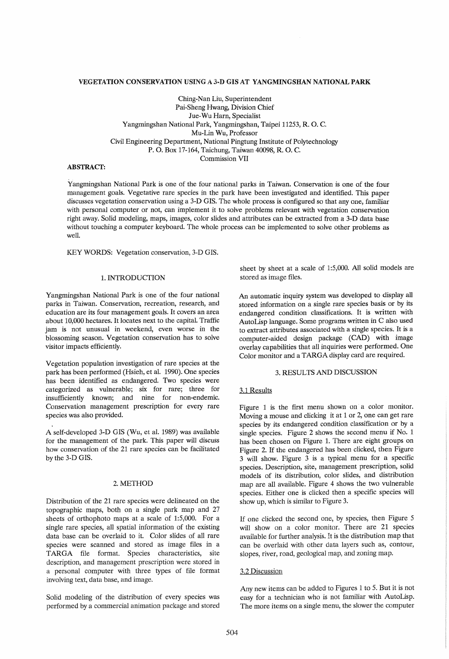# VEGETATION CONSERVATION USING A 3-D GIS AT YANGMINGSHAN NATIONAL PARK

Ching-Nan Liu, Superintendent Pai-Sheng Hwang, Division Chief Jue-Wu Ham, Specialist Yangmingshan National Park, Yangmingshan, Taipei 11253, R. O. C. Mu-Lin Wu, Professor Civil Engineering Department, National Pingtung Institute of Polytechnology P. O. Box 17-164, Taichung, Taiwan 40098, R. O. C. Commission VII

# ABSTRACT:

Yangmingshan National Park is one of the four national parks in Taiwan. Conservation is one of the four management goals. Vegetative rare species in the park have been investigated and identified. This paper discusses vegetation conservation using a 3-D GIS. The whole process is configured so that anyone, familiar with personal computer or not, can implement it to solve problems relevant with vegetation conservation right away. Solid modeling, maps, images, color slides and attributes can be extracted from a 3-D data base without touching a computer keyboard. The whole process can be implemented to solve other problems as well.

KEY WORDS: Vegetation conservation, 3-D GIS.

# 1. INTRODUCTION

Yangmingshan National Park is one of the four national parks in Taiwan. Conservation, recreation, research, and education are its four management goals. It covers an area about 10,000 hectares. It locates next to the capital. Traffic jam is not unusual in weekend, even worse in the blossoming season. Vegetation conservation has to solve visitor impacts efficiently.

Vegetation population investigation of rare species at the park has been performed (Hsieh, et al. 1990). One species has been identified as endangered. Two species were categorized as vulnerable; six for rare; three for insufficiently known; and nine for non-endemic. Conservation management prescription for every rare species was also provided.

A self-developed 3-D GIS (Wu, et al. 1989) was available for the management of the park. This paper will discuss how conservation of the 21 rare species can be facilitated by the 3-D GIS.

# 2. METHOD

Distribution of the 21 rare species were delineated on the topographic maps, both on a single park map and 27 sheets of orthophoto maps at a scale of 1:5,000. For a single rare species, all spatial information of the existing data base can be overlaid to it. Color slides of all rare species were scanned and stored as image files in a TARGA file format. Species characteristics, site description, and management prescription were stored in a personal computer with three types of file format involving text, data base, and image.

Solid modeling of the distribution of every species was performed by a commercial animation package and stored sheet by sheet at a scale of 1:5,000. All solid models are stored as image files.

An automatic inquiry system was developed to display all stored information on a single rare species basis or by its endangered condition classifications.. It is written with AutoLisp language. Some programs written in C also used to extract attributes associated with a single species. It is a computer-aided design package (CAD) with image overlay capabilities that all inquiries were performed. One Color monitor and a TARGA display card are required.

#### 3. RESULTS AND DISCUSSION

# 3.1 Results

Figure 1 is the first menu shown on a color monitor. Moving a mouse and clicking it at 1 or 2, one can get rare species by its endangered condition classification or by a single species. Figure 2 shows the second menu if No. 1 has been chosen on Figure 1. There are eight groups on Figure 2. If the endangered has been clicked, then Figure 3 will show. Figure 3 is a typical menu for a specific species. Description, site, management prescription, solid models of its distribution, color slides, and distribution map are all available. Figure 4 shows the two vulnerable species. Either one is clicked then a specific species will show up, which is similar to Figure 3.

If one clicked the second one, by species, then Figure 5 will show on a color monitor. There are 21 species available for further analysis. It is the distribution map that can be overlaid with other data layers such as, contour, slopes, river, road, geological map, and zoning map.

# 3.2 Discussion

Any new items can be added to Figures 1 to 5. But it is not easy for a technician who is not familiar with AutoLisp. The more items on a single menu, the slower the computer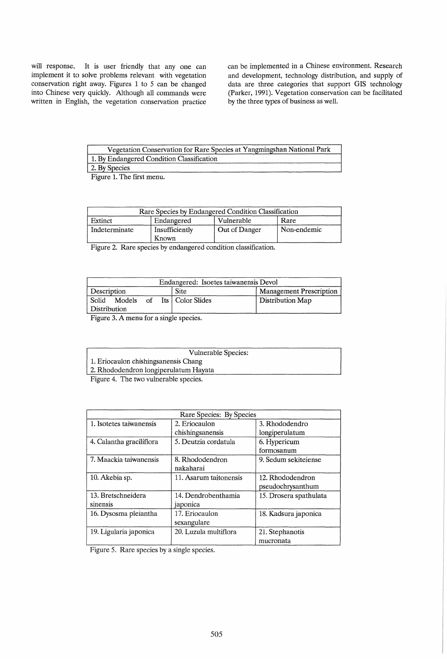will response. It is user friendly that any one can implement it to solve problems relevant with vegetation conservation right away. Figures 1 to 5 can be changed into Chinese very quickly. Although all commands were written in English, the vegetation conservation practice

can be implemented in a Chinese environment. Research and development, technology distribution, and supply of data are three categories that support GIS technology (Parker, 1991). Vegetation conservation can be facilitated by the three types of business as well.

| Vegetation Conservation for Rare Species at Yangmingshan National Park |
|------------------------------------------------------------------------|
| 1. By Endangered Condition Classification                              |
| 2. By Species                                                          |

Figure 1. The first menu.

| Rare Species by Endangered Condition Classification |                         |               |             |  |
|-----------------------------------------------------|-------------------------|---------------|-------------|--|
| Extinct                                             | Endangered              | Vulnerable    | Rare        |  |
| Indeterminate                                       | Insufficiently<br>Known | Out of Danger | Non-endemic |  |

Figure 2. Rare species by endangered condition classification.

| Endangered: Isoetes taiwanensis Devol |                       |                                |  |  |
|---------------------------------------|-----------------------|--------------------------------|--|--|
| Description                           | <b>Site</b>           | <b>Management Prescription</b> |  |  |
| Solid<br>Models<br>Distribution       | of Its   Color Slides | Distribution Map               |  |  |

Figure 3. A menu for a single species.

| Vulnerable Species: |  |
|---------------------|--|
|---------------------|--|

1. Eriocaulon chishingsanensis Chang

2. Rhododendron longiperulatum Hayata

Figure 4. The two vulnerable species.

| Rare Species: By Species |                        |                        |  |  |
|--------------------------|------------------------|------------------------|--|--|
| 1. Isotetes taiwanensis  | 2. Eriocaulon          | 3. Rhododendro         |  |  |
|                          | chishingsanensis       | longiperulatum         |  |  |
| 4. Calantha graciliflora | 5. Deutzia cordatula   | 6. Hypericum           |  |  |
|                          |                        | formosanum             |  |  |
| 7. Maackia taiwanensis   | 8. Rhododendron        | 9. Sedum sekiteiense   |  |  |
|                          | nakaharai              |                        |  |  |
| 10. Akebia sp.           | 11. Asarum taitonensis | 12. Rhododendron       |  |  |
|                          |                        | pseudochrysanthum      |  |  |
| 13. Bretschneidera       | 14. Dendrobenthamia    | 15. Drosera spathulata |  |  |
| sinensis                 | japonica               |                        |  |  |
| 16. Dysosma pleiantha    | 17. Eriocaulon         | 18. Kadsura japonica   |  |  |
|                          | sexangulare            |                        |  |  |
| 19. Ligularia japonica   | 20. Luzula multiflora  | 21. Stephanotis        |  |  |
|                          |                        | mucronata              |  |  |

Figure 5. Rare species by a single species.